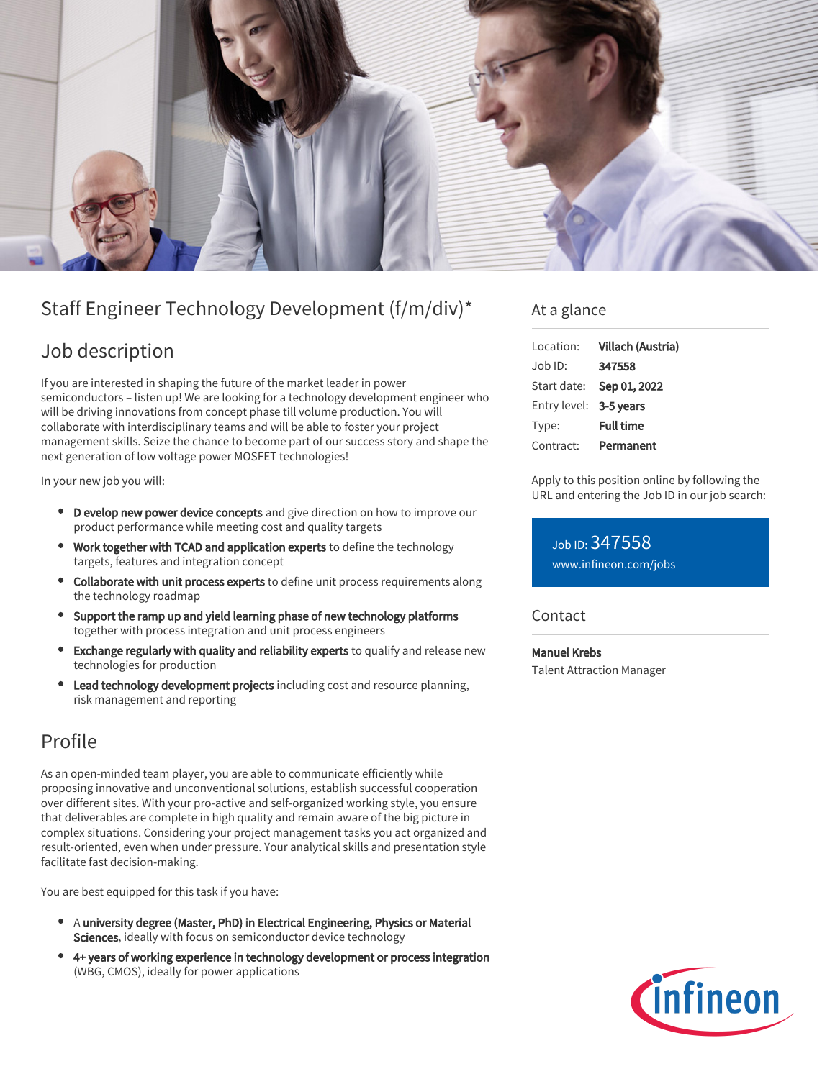

# Staff Engineer Technology Development (f/m/div)\*

## Job description

If you are interested in shaping the future of the market leader in power semiconductors – listen up! We are looking for a technology development engineer who will be driving innovations from concept phase till volume production. You will collaborate with interdisciplinary teams and will be able to foster your project management skills. Seize the chance to become part of our success story and shape the next generation of low voltage power MOSFET technologies!

In your new job you will:

- D evelop new power device concepts and give direction on how to improve our product performance while meeting cost and quality targets
- Work together with TCAD and application experts to define the technology targets, features and integration concept
- Collaborate with unit process experts to define unit process requirements along the technology roadmap
- Support the ramp up and yield learning phase of new technology platforms together with process integration and unit process engineers
- Exchange regularly with quality and reliability experts to qualify and release new technologies for production
- Lead technology development projects including cost and resource planning, risk management and reporting

# Profile

As an open-minded team player, you are able to communicate efficiently while proposing innovative and unconventional solutions, establish successful cooperation over different sites. With your pro-active and self-organized working style, you ensure that deliverables are complete in high quality and remain aware of the big picture in complex situations. Considering your project management tasks you act organized and result-oriented, even when under pressure. Your analytical skills and presentation style facilitate fast decision-making.

You are best equipped for this task if you have:

- A university degree (Master, PhD) in Electrical Engineering, Physics or Material Sciences, ideally with focus on semiconductor device technology
- 4+ years of working experience in technology development or process integration (WBG, CMOS), ideally for power applications

### At a glance

| Location:              | Villach (Austria) |
|------------------------|-------------------|
| $.$ lob $ D$ :         | 347558            |
| Start date:            | Sep 01, 2022      |
| Entry level: 3-5 years |                   |
| Type:                  | <b>Full time</b>  |
| Contract:              | Permanent         |

Apply to this position online by following the URL and entering the Job ID in our job search:

Job ID: 347558 [www.infineon.com/jobs](https://www.infineon.com/jobs)

**Contact** 

#### Manuel Krebs

Talent Attraction Manager

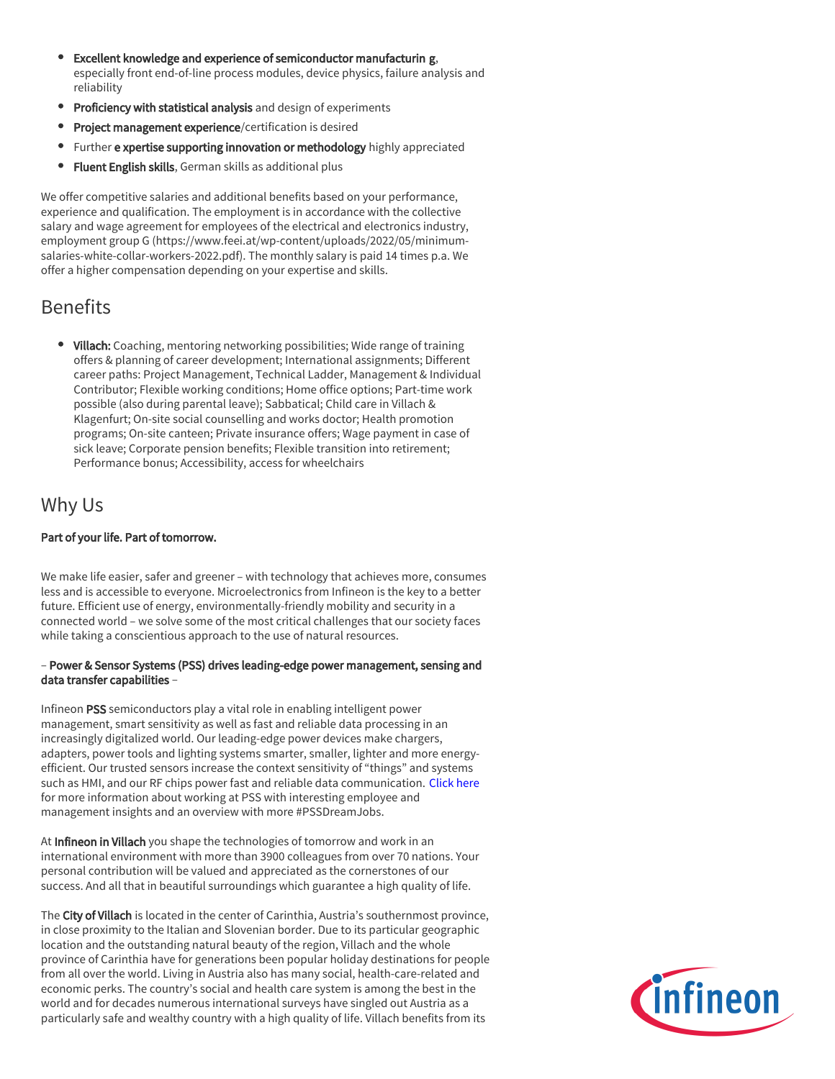- Excellent knowledge and experience of semiconductor manufacturin g, especially front end-of-line process modules, device physics, failure analysis and reliability
- **Proficiency with statistical analysis** and design of experiments
- Project management experience/certification is desired
- Further e xpertise supporting innovation or methodology highly appreciated
- **Fluent English skills**, German skills as additional plus

We offer competitive salaries and additional benefits based on your performance, experience and qualification. The employment is in accordance with the collective salary and wage agreement for employees of the electrical and electronics industry, employment group G (https://www.feei.at/wp-content/uploads/2022/05/minimumsalaries-white-collar-workers-2022.pdf). The monthly salary is paid 14 times p.a. We offer a higher compensation depending on your expertise and skills.

## Benefits

• Villach: Coaching, mentoring networking possibilities; Wide range of training offers & planning of career development; International assignments; Different career paths: Project Management, Technical Ladder, Management & Individual Contributor; Flexible working conditions; Home office options; Part-time work possible (also during parental leave); Sabbatical; Child care in Villach & Klagenfurt; On-site social counselling and works doctor; Health promotion programs; On-site canteen; Private insurance offers; Wage payment in case of sick leave; Corporate pension benefits; Flexible transition into retirement; Performance bonus; Accessibility, access for wheelchairs

### Why Us

#### Part of your life. Part of tomorrow.

We make life easier, safer and greener – with technology that achieves more, consumes less and is accessible to everyone. Microelectronics from Infineon is the key to a better future. Efficient use of energy, environmentally-friendly mobility and security in a connected world – we solve some of the most critical challenges that our society faces while taking a conscientious approach to the use of natural resources.

#### – Power & Sensor Systems (PSS) drives leading-edge power management, sensing and data transfer capabilities –

Infineon PSS semiconductors play a vital role in enabling intelligent power management, smart sensitivity as well as fast and reliable data processing in an increasingly digitalized world. Our leading-edge power devices make chargers, adapters, power tools and lighting systems smarter, smaller, lighter and more energyefficient. Our trusted sensors increase the context sensitivity of "things" and systems such as HMI, and our RF chips power fast and reliable data communication. [Click here](https://www.infineon.com/cms/en/careers/working-at-infineon/PSSDreamJob/) for more information about working at PSS with interesting employee and management insights and an overview with more #PSSDreamJobs.

At Infineon in Villach you shape the technologies of tomorrow and work in an international environment with more than 3900 colleagues from over 70 nations. Your personal contribution will be valued and appreciated as the cornerstones of our success. And all that in beautiful surroundings which guarantee a high quality of life.

The City of Villach is located in the center of Carinthia, Austria's southernmost province, in close proximity to the Italian and Slovenian border. Due to its particular geographic location and the outstanding natural beauty of the region, Villach and the whole province of Carinthia have for generations been popular holiday destinations for people from all over the world. Living in Austria also has many social, health-care-related and economic perks. The country's social and health care system is among the best in the world and for decades numerous international surveys have singled out Austria as a particularly safe and wealthy country with a high quality of life. Villach benefits from its